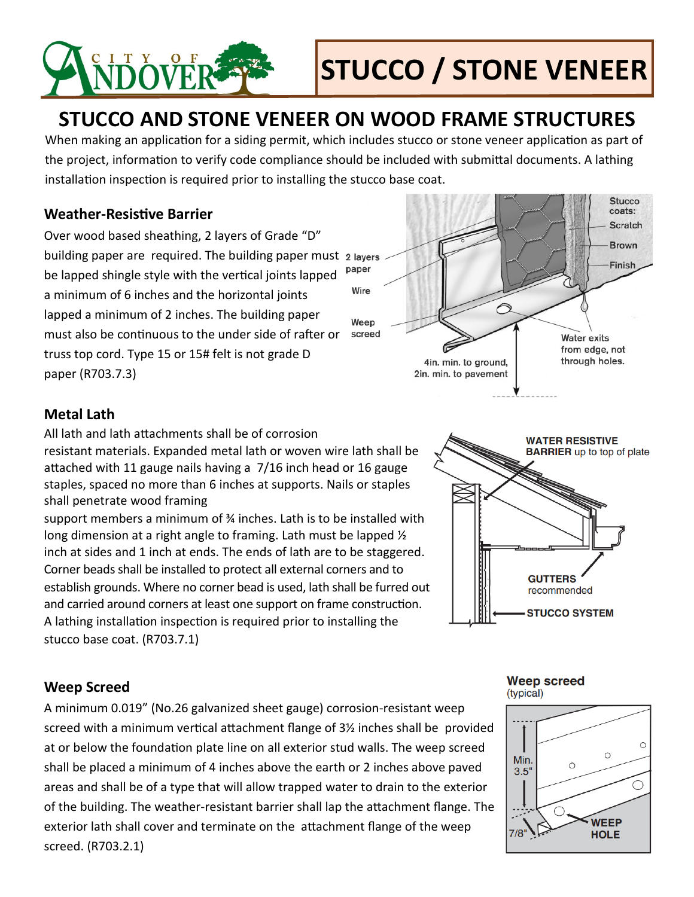

# **STUCCO / STONE VENEER**

## **STUCCO AND STONE VENEER ON WOOD FRAME STRUCTURES**

When making an application for a siding permit, which includes stucco or stone veneer application as part of the project, information to verify code compliance should be included with submittal documents. A lathing installation inspection is required prior to installing the stucco base coat.

#### **Weather-Resistive Barrier**

Over wood based sheathing, 2 layers of Grade "D" building paper are required. The building paper must 2 layers paper be lapped shingle style with the vertical joints lapped a minimum of 6 inches and the horizontal joints lapped a minimum of 2 inches. The building paper must also be continuous to the under side of rafter or truss top cord. Type 15 or 15# felt is not grade D paper (R703.7.3)



#### **Metal Lath**

All lath and lath attachments shall be of corrosion

resistant materials. Expanded metal lath or woven wire lath shall be attached with 11 gauge nails having a 7/16 inch head or 16 gauge staples, spaced no more than 6 inches at supports. Nails or staples shall penetrate wood framing

support members a minimum of ¾ inches. Lath is to be installed with long dimension at a right angle to framing. Lath must be lapped ½ inch at sides and 1 inch at ends. The ends of lath are to be staggered. Corner beads shall be installed to protect all external corners and to establish grounds. Where no corner bead is used, lath shall be furred out and carried around corners at least one support on frame construction. A lathing installation inspection is required prior to installing the stucco base coat. (R703.7.1)



#### **Weep Screed**

A minimum 0.019" (No.26 galvanized sheet gauge) corrosion-resistant weep screed with a minimum vertical attachment flange of 3½ inches shall be provided at or below the foundation plate line on all exterior stud walls. The weep screed shall be placed a minimum of 4 inches above the earth or 2 inches above paved areas and shall be of a type that will allow trapped water to drain to the exterior of the building. The weather-resistant barrier shall lap the attachment flange. The exterior lath shall cover and terminate on the attachment flange of the weep screed. (R703.2.1)

#### **Weep screed** (typical)